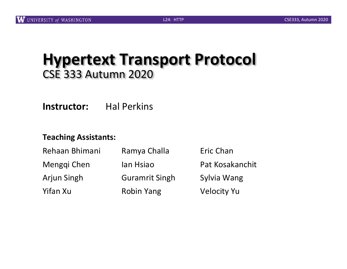### **Hypertext Transport Protocol** CSE 333 Autumn 2020

**Instructor:** Hal Perkins

#### **Teaching Assistants:**

| Rehaan Bhimani<br>Menggi Chen<br><b>Arjun Singh</b> | Ramya Challa<br>lan Hsiao<br><b>Guramrit Singh</b> | Eric Chan<br>Pat Kosakanchit<br>Sylvia Wang |          |                   |                    |
|-----------------------------------------------------|----------------------------------------------------|---------------------------------------------|----------|-------------------|--------------------|
|                                                     |                                                    |                                             | Yifan Xu | <b>Robin Yang</b> | <b>Velocity Yu</b> |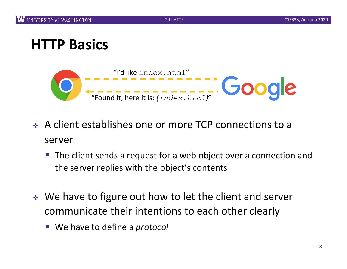### **HTTP Basics**



- <sup>v</sup> A client establishes one or more TCP connections to a server
	- The client sends a request for a web object over a connection and the server replies with the object's contents
- ↓ We have to figure out how to let the client and server communicate their intentions to each other clearly
	- We have to define a *protocol*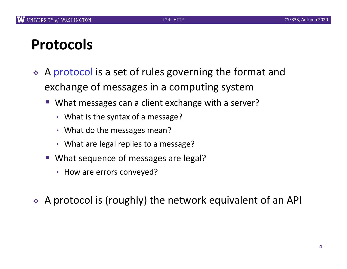### **Protocols**

- <sup>v</sup> A protocol is a set of rules governing the format and exchange of messages in a computing system
	- What messages can a client exchange with a server?
		- What is the syntax of a message?
		- What do the messages mean?
		- What are legal replies to a message?
	- What sequence of messages are legal?
		- How are errors conveyed?
- $\triangle$  A protocol is (roughly) the network equivalent of an API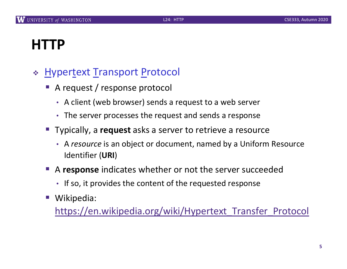# **HTTP**

#### \* Hypertext Transport Protocol

- § A request / response protocol
	- A client (web browser) sends a request to a web server
	- The server processes the request and sends a response
- Typically, a **request** asks a server to retrieve a resource
	- A *resource* is an object or document, named by a Uniform Resource Identifier (**URI**)
- A response indicates whether or not the server succeeded
	- If so, it provides the content of the requested response
- Wikipedia:

[https://en.wikipedia.org/wiki/Hypertext\\_Transfer\\_Proto](https://en.wikipedia.org/wiki/Hypertext_Transfer_Protocol)col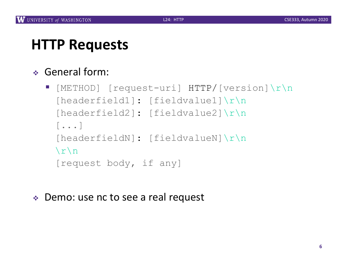# **HTTP Requests**

#### <sup>v</sup> General form:

- § [METHOD] [request-uri] HTTP/[version]\r\n [headerfield1]: [fieldvalue1]\r\n [headerfield2]: [fieldvalue2]\r\n [...] [headerfieldN]: [fieldvalueN]\r\n  $\langle r \rangle$ n [request body, if any]
- ◆ Demo: use nc to see a real request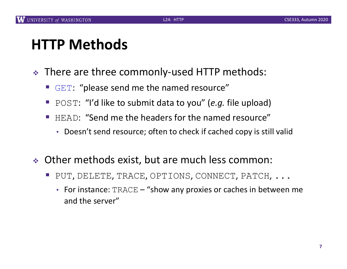# **HTTP Methods**

- \* There are three commonly-used HTTP methods:
	- GET: "please send me the named resource"
	- POST: "I'd like to submit data to you" (*e.g.* file upload)
	- HEAD: "Send me the headers for the named resource"
		- Doesn't send resource; often to check if cached copy is still valid
- $\div$  Other methods exist, but are much less common:
	- PUT, DELETE, TRACE, OPTIONS, CONNECT, PATCH, ...
		- For instance:  $\texttt{TRACE}$  "show any proxies or caches in between me and the server"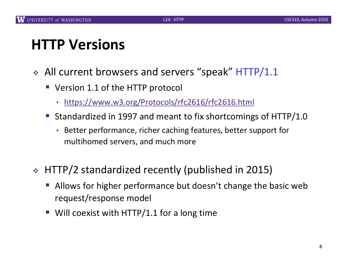# **HTTP Versions**

- $\div$  All current browsers and servers "speak" HTTP/1.1
	- Version 1.1 of the HTTP protocol
		- [https://www.w3.org/Protocols/rfc2616/rfc2616.h](https://www.w3.org/Protocols/rfc2616/rfc2616.html)tml
	- Standardized in 1997 and meant to fix shortcomings of HTTP/1.0
		- Better performance, richer caching features, better support for multihomed servers, and much more
- ◆ HTTP/2 standardized recently (published in 2015)
	- Allows for higher performance but doesn't change the basic web request/response model
	- $\blacksquare$  Will coexist with HTTP/1.1 for a long time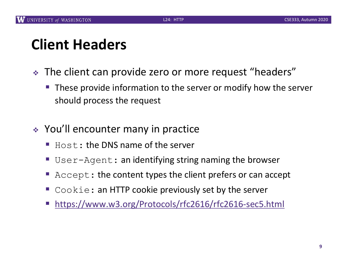# **Client Headers**

- The client can provide zero or more request "headers"
	- These provide information to the server or modify how the server should process the request
- $\div$  You'll encounter many in practice
	- $\blacksquare$  Host: the DNS name of the server
	- User-Agent: an identifying string naming the browser
	- Accept: the content types the client prefers or can accept
	- $\blacksquare$  Cookie: an HTTP cookie previously set by the server
	- § [https://www.w3.org/Protocols/rfc2616/rfc2616-sec5.h](https://www.w3.org/Protocols/rfc2616/rfc2616-sec5.html)tml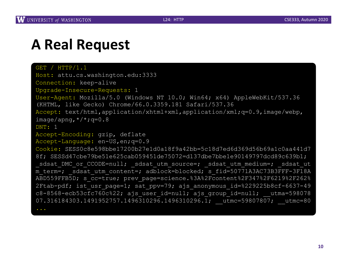### **A Real Request**

```
GET / HTTP/1.1Host: attu.cs.washington.edu:3333
Connection: keep-alive
Upgrade-Insecure-Requests: 1
User-Agent: Mozilla/5.0 (Windows NT 10.0; Win64; x64) AppleWebKit/537.36 
(KHTML, like Gecko) Chrome/66.0.3359.181 Safari/537.36
Accept: text/html,application/xhtml+xml,application/xml;q=0.9,image/webp,
image/apng, */*; g=0.8
DNT: 1
Accept-Encoding: gzip, deflate
Accept-Language: en-US,en;q=0.9
Cookie: SESS0c8e598bbe17200b27e1d0a18f9a42bb=5c18d7ed6d369d56b69a1c0aa441d7 
8f; SESSd47cbe79be51e625cab059451de75072=d137dbe7bbe1e90149797dcd89c639b1; 
sdsat DMC or CCODE=null; sdsat utm source=; sdsat utm medium=; sdsat ut
m term=; sdsat utm content=; adblock=blocked; s fid=50771A3AC73B3FFF-3F18A
ABD559FFB5D; s cc=true; prev page=science.%3A%2Fcontent%2F347%2F6219%2F262%
2Ftab-pdf; ist usr page=1; sat ppv=79; ajs anonymous id=%229225b8cf-6637-49
c8-8568-ecb53cfc760c%22; ajs user id=null; ajs group id=null; utma=598078
07.316184303.1491952757.1496310296.1496310296.1; utmc=59807807; utmc=80
```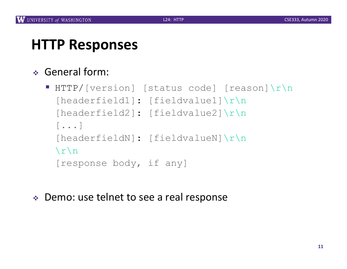## **HTTP Responses**

#### <sup>v</sup> General form:

- § HTTP/[version] [status code] [reason]\r\n [headerfield1]: [fieldvalue1]\r\n [headerfield2]: [fieldvalue2]\r\n [...] [headerfieldN]: [fieldvalueN]\r\n  $\langle r \rangle$ n [response body, if any]
- ◆ Demo: use telnet to see a real response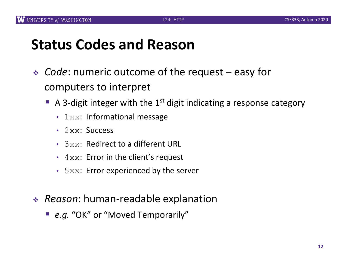### **Status Codes and Reason**

- ◆ *Code*: numeric outcome of the request easy for computers to interpret
	- A 3-digit integer with the 1<sup>st</sup> digit indicating a response category
		- $1xx$ : Informational message
		- 2xx: Success
		- $\cdot$  3xx: Redirect to a different URL
		- $4xx$ : Error in the client's request
		- $5xx$ : Error experienced by the server
- <sup>v</sup> *Reason*: human-readable explanation
	- *e.g.* "OK" or "Moved Temporarily"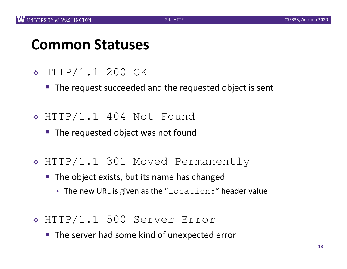#### **Common Statuses**

- <sup>v</sup> HTTP/1.1 200 OK
	- The request succeeded and the requested object is sent
- $\div$  HTTP/1.1 404 Not Found
	- The requested object was not found
- \* HTTP/1.1 301 Moved Permanently
	- The object exists, but its name has changed
		- The new URL is given as the "Location:" header value
- <sup>v</sup> HTTP/1.1 500 Server Error
	- The server had some kind of unexpected error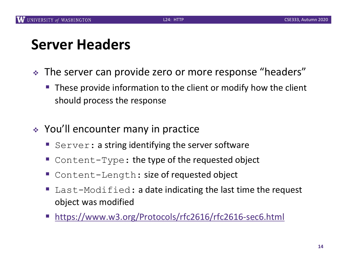### **Server Headers**

- The server can provide zero or more response "headers"
	- These provide information to the client or modify how the client should process the response
- $\div$  You'll encounter many in practice
	- Server: a string identifying the server software
	- Content-Type: the type of the requested object
	- Content-Length: size of requested object
	- Last-Modified: a date indicating the last time the request object was modified
	- § [https://www.w3.org/Protocols/rfc2616/rfc2616-sec6.h](https://www.w3.org/Protocols/rfc2616/rfc2616-sec6.html)tml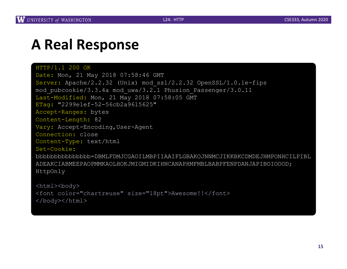#### **A Real Response**

HTTP/1.1 200 OK Date: Mon, 21 May 2018 07:58:46 GMT Server: Apache/2.2.32 (Unix) mod\_ssl/2.2.32 OpenSSL/1.0.1e-fips mod\_pubcookie/3.3.4a mod\_uwa/3.2.1 Phusion\_Passenger/3.0.11 Last-Modified: Mon, 21 May 2018 07:58:05 GMT ETag: "2299e1ef-52-56cb2a9615625" Accept-Ranges: bytes Content-Length: 82 Vary: Accept-Encoding,User-Agent Connection: close Content-Type: text/html Set-Cookie: bbbbbbbbbbbbbbb=DBMLFDMJCGAOILMBPIIAAIFLGBAKOJNNMCJIKKBKCDMDEJHMPONHCILPIBL ADEAKCIABMEEPAOPMMKAOLHOKJMIGMIDKIHNCANAPHMFMBLBABPFENPDANJAPIBOIOOOD; HttpOnly

<html><body> <font color="chartreuse" size="18pt">Awesome!!</font> </body></html>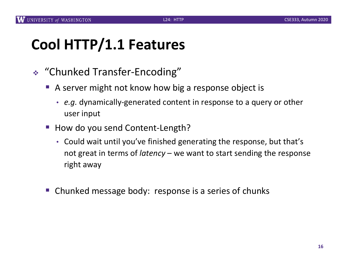# **Cool HTTP/1.1 Features**

- <sup>v</sup> "Chunked Transfer-Encoding"
	- § A server might not know how big a response object is
		- *e.g.* dynamically-generated content in response to a query or other user input
	- How do you send Content-Length?
		- Could wait until you've finished generating the response, but that's not great in terms of *latency* – we want to start sending the response right away
	- § Chunked message body: response is a series of chunks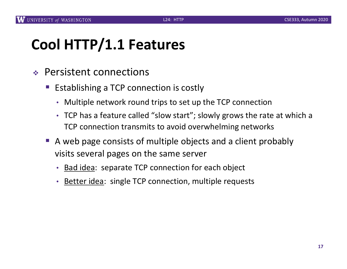# **Cool HTTP/1.1 Features**

- $\div$  Persistent connections
	- Establishing a TCP connection is costly
		- Multiple network round trips to set up the TCP connection
		- TCP has a feature called "slow start"; slowly grows the rate at which a TCP connection transmits to avoid overwhelming networks
	- A web page consists of multiple objects and a client probably visits several pages on the same server
		- Bad idea: separate TCP connection for each object
		- Better idea: single TCP connection, multiple requests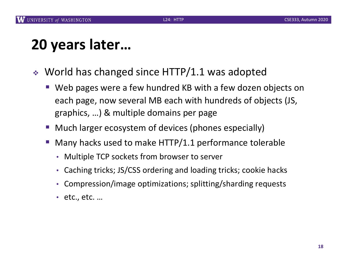# **20 years later…**

- $\cdot$  World has changed since HTTP/1.1 was adopted
	- Web pages were a few hundred KB with a few dozen objects on each page, now several MB each with hundreds of objects (JS, graphics, …) & multiple domains per page
	- Much larger ecosystem of devices (phones especially)
	- Many hacks used to make HTTP/1.1 performance tolerable
		- Multiple TCP sockets from browser to server
		- Caching tricks; JS/CSS ordering and loading tricks; cookie hacks
		- Compression/image optimizations; splitting/sharding requests
		- etc., etc. …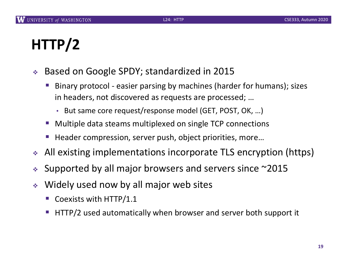# **HTTP/2**

- <sup>v</sup> Based on Google SPDY; standardized in 2015
	- § Binary protocol easier parsing by machines (harder for humans); sizes in headers, not discovered as requests are processed; …
		- But same core request/response model (GET, POST, OK, …)
	- § Multiple data steams multiplexed on single TCP connections
	- § Header compression, server push, object priorities, more…
- All existing implementations incorporate TLS encryption (https)
- $\cdot$  Supported by all major browsers and servers since  $\sim$ 2015
- $\cdot$  Widely used now by all major web sites
	- § Coexists with HTTP/1.1
	- § HTTP/2 used automatically when browser and server both support it